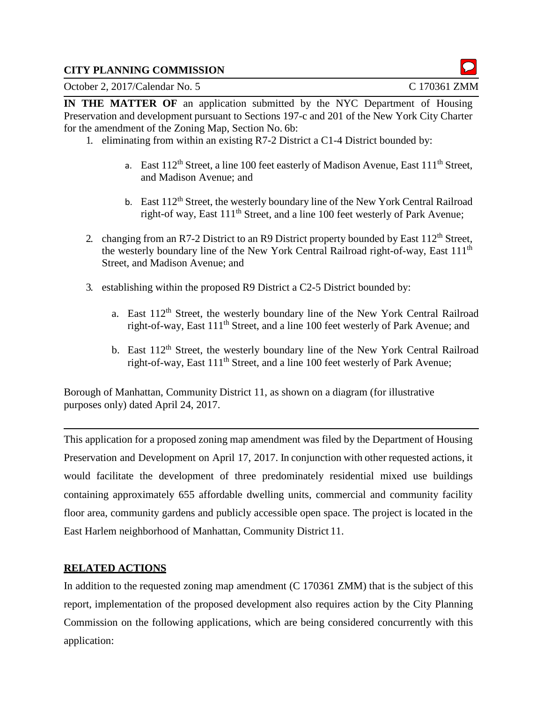#### **CITY PLANNING COMMISSION**

October 2, 2017/Calendar No. 5 C 170361 ZMM

**IN THE MATTER OF** an application submitted by the NYC Department of Housing Preservation and development pursuant to Sections 197-c and 201 of the New York City Charter for the amendment of the Zoning Map, Section No. 6b:

- 1. eliminating from within an existing R7-2 District a C1-4 District bounded by:
	- a. East  $112^{th}$  Street, a line 100 feet easterly of Madison Avenue, East  $111^{th}$  Street, and Madison Avenue; and
	- b. East  $112<sup>th</sup>$  Street, the westerly boundary line of the New York Central Railroad right-of way, East 111<sup>th</sup> Street, and a line 100 feet westerly of Park Avenue;
- 2. changing from an R7-2 District to an R9 District property bounded by East 112<sup>th</sup> Street, the westerly boundary line of the New York Central Railroad right-of-way, East 111th Street, and Madison Avenue; and
- 3. establishing within the proposed R9 District a C2-5 District bounded by:
	- a. East 112<sup>th</sup> Street, the westerly boundary line of the New York Central Railroad right-of-way, East 111th Street, and a line 100 feet westerly of Park Avenue; and
	- b. East 112<sup>th</sup> Street, the westerly boundary line of the New York Central Railroad right-of-way, East 111th Street, and a line 100 feet westerly of Park Avenue;

Borough of Manhattan, Community District 11, as shown on a diagram (for illustrative purposes only) dated April 24, 2017.

This application for a proposed zoning map amendment was filed by the Department of Housing Preservation and Development on April 17, 2017. In conjunction with other requested actions, it would facilitate the development of three predominately residential mixed use buildings containing approximately 655 affordable dwelling units, commercial and community facility floor area, community gardens and publicly accessible open space. The project is located in the East Harlem neighborhood of Manhattan, Community District 11.

## **RELATED ACTIONS**

In addition to the requested zoning map amendment (C 170361 ZMM) that is the subject of this report, implementation of the proposed development also requires action by the City Planning Commission on the following applications, which are being considered concurrently with this application: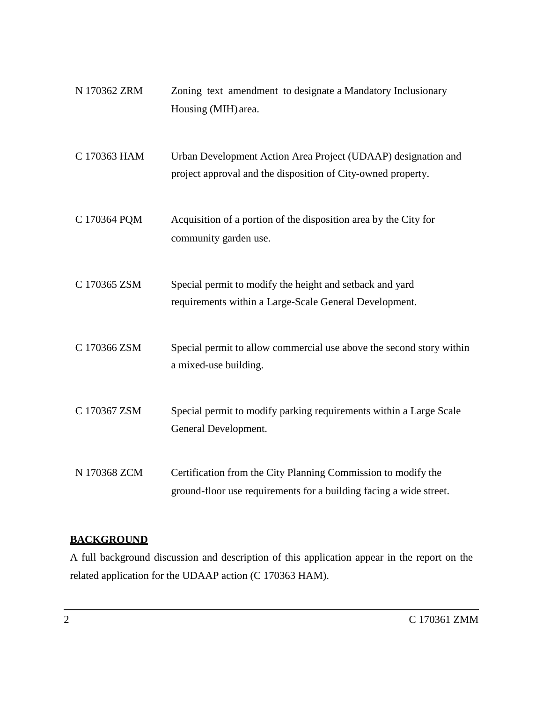| N 170362 ZRM | Zoning text amendment to designate a Mandatory Inclusionary<br>Housing (MIH) area.                                                  |
|--------------|-------------------------------------------------------------------------------------------------------------------------------------|
| C 170363 HAM | Urban Development Action Area Project (UDAAP) designation and<br>project approval and the disposition of City-owned property.       |
| C 170364 PQM | Acquisition of a portion of the disposition area by the City for<br>community garden use.                                           |
| C 170365 ZSM | Special permit to modify the height and setback and yard<br>requirements within a Large-Scale General Development.                  |
| C 170366 ZSM | Special permit to allow commercial use above the second story within<br>a mixed-use building.                                       |
| C 170367 ZSM | Special permit to modify parking requirements within a Large Scale<br>General Development.                                          |
| N 170368 ZCM | Certification from the City Planning Commission to modify the<br>ground-floor use requirements for a building facing a wide street. |

# **BACKGROUND**

A full background discussion and description of this application appear in the report on the related application for the UDAAP action (C 170363 HAM).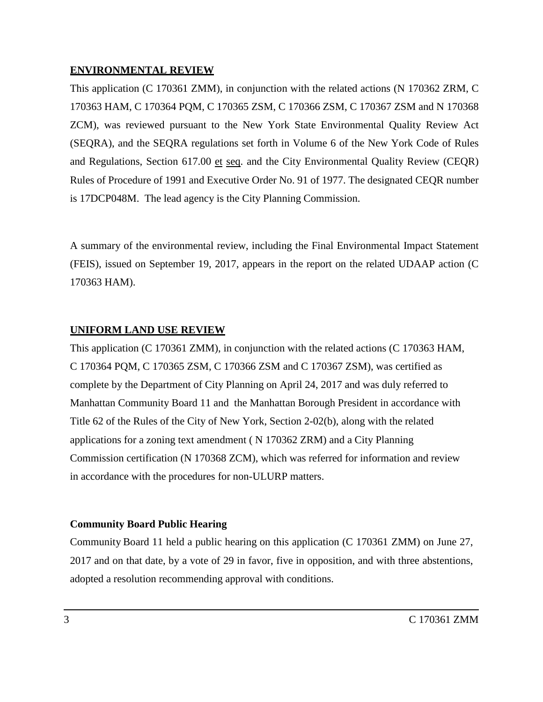#### **ENVIRONMENTAL REVIEW**

This application (C 170361 ZMM), in conjunction with the related actions (N 170362 ZRM, C 170363 HAM, C 170364 PQM, C 170365 ZSM, C 170366 ZSM, C 170367 ZSM and N 170368 ZCM), was reviewed pursuant to the New York State Environmental Quality Review Act (SEQRA), and the SEQRA regulations set forth in Volume 6 of the New York Code of Rules and Regulations, Section 617.00 et seq. and the City Environmental Quality Review (CEQR) Rules of Procedure of 1991 and Executive Order No. 91 of 1977. The designated CEQR number is 17DCP048M. The lead agency is the City Planning Commission.

A summary of the environmental review, including the Final Environmental Impact Statement (FEIS), issued on September 19, 2017, appears in the report on the related UDAAP action (C 170363 HAM).

# **UNIFORM LAND USE REVIEW**

This application (C 170361 ZMM), in conjunction with the related actions (C 170363 HAM, C 170364 PQM, C 170365 ZSM, C 170366 ZSM and C 170367 ZSM), was certified as complete by the Department of City Planning on April 24, 2017 and was duly referred to Manhattan Community Board 11 and the Manhattan Borough President in accordance with Title 62 of the Rules of the City of New York, Section 2-02(b), along with the related applications for a zoning text amendment ( N 170362 ZRM) and a City Planning Commission certification (N 170368 ZCM), which was referred for information and review in accordance with the procedures for non-ULURP matters.

## **Community Board Public Hearing**

Community Board 11 held a public hearing on this application (C 170361 ZMM) on June 27, 2017 and on that date, by a vote of 29 in favor, five in opposition, and with three abstentions, adopted a resolution recommending approval with conditions.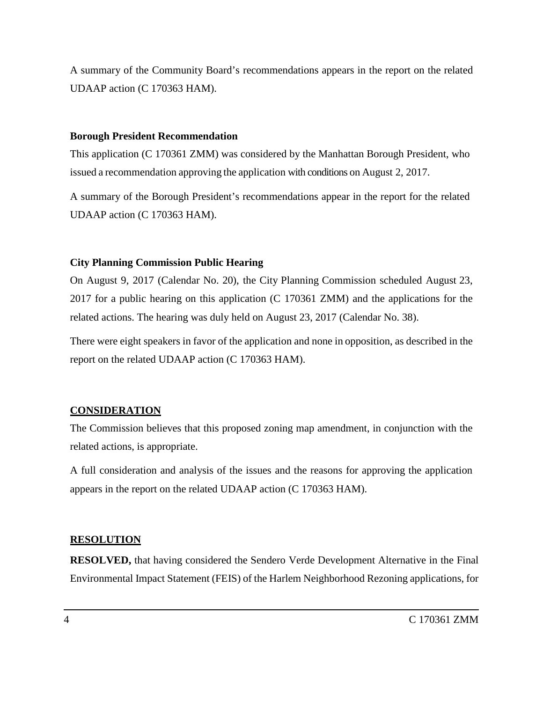A summary of the Community Board's recommendations appears in the report on the related UDAAP action (C 170363 HAM).

#### **Borough President Recommendation**

This application (C 170361 ZMM) was considered by the Manhattan Borough President, who issued a recommendation approving the application with conditions on August 2, 2017.

A summary of the Borough President's recommendations appear in the report for the related UDAAP action (C 170363 HAM).

#### **City Planning Commission Public Hearing**

On August 9, 2017 (Calendar No. 20), the City Planning Commission scheduled August 23, 2017 for a public hearing on this application (C 170361 ZMM) and the applications for the related actions. The hearing was duly held on August 23, 2017 (Calendar No. 38).

There were eight speakers in favor of the application and none in opposition, as described in the report on the related UDAAP action (C 170363 HAM).

# **CONSIDERATION**

The Commission believes that this proposed zoning map amendment, in conjunction with the related actions, is appropriate.

A full consideration and analysis of the issues and the reasons for approving the application appears in the report on the related UDAAP action (C 170363 HAM).

#### **RESOLUTION**

**RESOLVED,** that having considered the Sendero Verde Development Alternative in the Final Environmental Impact Statement (FEIS) of the Harlem Neighborhood Rezoning applications, for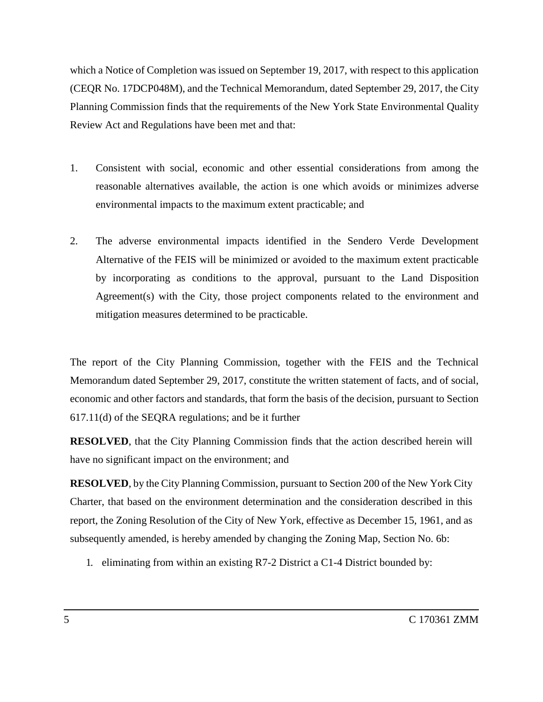which a Notice of Completion was issued on September 19, 2017, with respect to this application (CEQR No. 17DCP048M), and the Technical Memorandum, dated September 29, 2017, the City Planning Commission finds that the requirements of the New York State Environmental Quality Review Act and Regulations have been met and that:

- 1. Consistent with social, economic and other essential considerations from among the reasonable alternatives available, the action is one which avoids or minimizes adverse environmental impacts to the maximum extent practicable; and
- 2. The adverse environmental impacts identified in the Sendero Verde Development Alternative of the FEIS will be minimized or avoided to the maximum extent practicable by incorporating as conditions to the approval, pursuant to the Land Disposition Agreement(s) with the City, those project components related to the environment and mitigation measures determined to be practicable.

The report of the City Planning Commission, together with the FEIS and the Technical Memorandum dated September 29, 2017, constitute the written statement of facts, and of social, economic and other factors and standards, that form the basis of the decision, pursuant to Section 617.11(d) of the SEQRA regulations; and be it further

**RESOLVED**, that the City Planning Commission finds that the action described herein will have no significant impact on the environment; and

**RESOLVED**, by the City Planning Commission, pursuant to Section 200 of the New York City Charter, that based on the environment determination and the consideration described in this report, the Zoning Resolution of the City of New York, effective as December 15, 1961, and as subsequently amended, is hereby amended by changing the Zoning Map, Section No. 6b:

1. eliminating from within an existing R7-2 District a C1-4 District bounded by: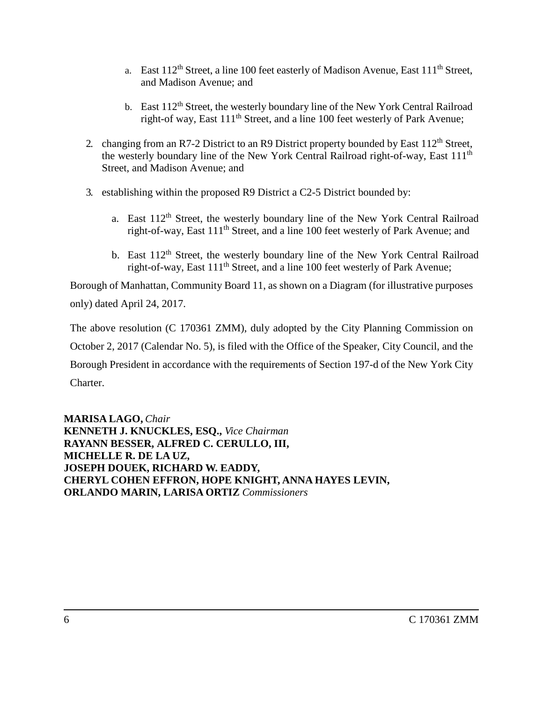- a. East  $112^{th}$  Street, a line 100 feet easterly of Madison Avenue, East  $111^{th}$  Street, and Madison Avenue; and
- b. East  $112<sup>th</sup>$  Street, the westerly boundary line of the New York Central Railroad right-of way, East  $111<sup>th</sup>$  Street, and a line 100 feet westerly of Park Avenue:
- 2. changing from an R7-2 District to an R9 District property bounded by East 112<sup>th</sup> Street, the westerly boundary line of the New York Central Railroad right-of-way, East 111th Street, and Madison Avenue; and
- 3. establishing within the proposed R9 District a C2-5 District bounded by:
	- a. East 112<sup>th</sup> Street, the westerly boundary line of the New York Central Railroad right-of-way, East 111th Street, and a line 100 feet westerly of Park Avenue; and
	- b. East 112<sup>th</sup> Street, the westerly boundary line of the New York Central Railroad right-of-way, East 111th Street, and a line 100 feet westerly of Park Avenue;

Borough of Manhattan, Community Board 11, as shown on a Diagram (for illustrative purposes only) dated April 24, 2017.

The above resolution (C 170361 ZMM), duly adopted by the City Planning Commission on October 2, 2017 (Calendar No. 5), is filed with the Office of the Speaker, City Council, and the Borough President in accordance with the requirements of Section 197-d of the New York City Charter.

**MARISA LAGO,** *Chair* **KENNETH J. KNUCKLES, ESQ.,** *Vice Chairman* **RAYANN BESSER, ALFRED C. CERULLO, III, MICHELLE R. DE LA UZ, JOSEPH DOUEK, RICHARD W. EADDY, CHERYL COHEN EFFRON, HOPE KNIGHT, ANNA HAYES LEVIN, ORLANDO MARIN, LARISA ORTIZ** *Commissioners*